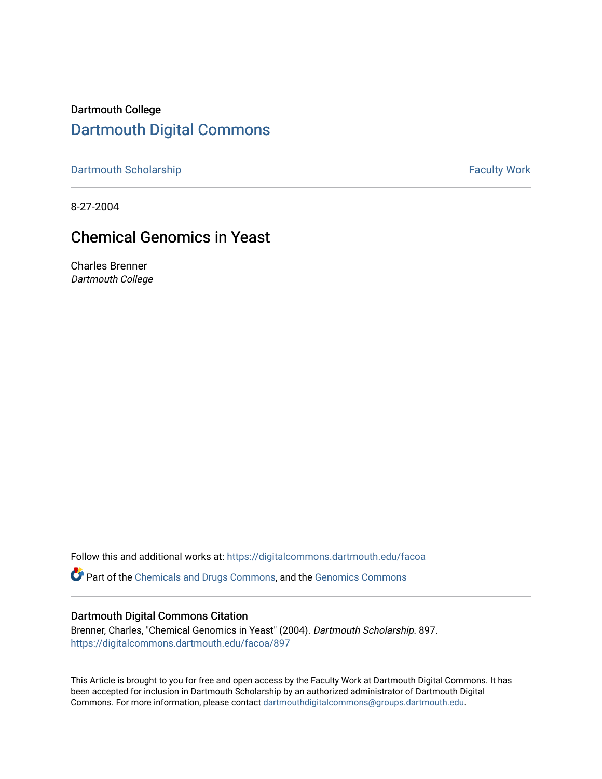## Dartmouth College [Dartmouth Digital Commons](https://digitalcommons.dartmouth.edu/)

[Dartmouth Scholarship](https://digitalcommons.dartmouth.edu/facoa) **Faculty Work Dartmouth Scholarship Faculty Work** 

8-27-2004

# Chemical Genomics in Yeast

Charles Brenner Dartmouth College

Follow this and additional works at: [https://digitalcommons.dartmouth.edu/facoa](https://digitalcommons.dartmouth.edu/facoa?utm_source=digitalcommons.dartmouth.edu%2Ffacoa%2F897&utm_medium=PDF&utm_campaign=PDFCoverPages)

Part of the [Chemicals and Drugs Commons](http://network.bepress.com/hgg/discipline/902?utm_source=digitalcommons.dartmouth.edu%2Ffacoa%2F897&utm_medium=PDF&utm_campaign=PDFCoverPages), and the [Genomics Commons](http://network.bepress.com/hgg/discipline/30?utm_source=digitalcommons.dartmouth.edu%2Ffacoa%2F897&utm_medium=PDF&utm_campaign=PDFCoverPages) 

## Dartmouth Digital Commons Citation

Brenner, Charles, "Chemical Genomics in Yeast" (2004). Dartmouth Scholarship. 897. [https://digitalcommons.dartmouth.edu/facoa/897](https://digitalcommons.dartmouth.edu/facoa/897?utm_source=digitalcommons.dartmouth.edu%2Ffacoa%2F897&utm_medium=PDF&utm_campaign=PDFCoverPages)

This Article is brought to you for free and open access by the Faculty Work at Dartmouth Digital Commons. It has been accepted for inclusion in Dartmouth Scholarship by an authorized administrator of Dartmouth Digital Commons. For more information, please contact [dartmouthdigitalcommons@groups.dartmouth.edu](mailto:dartmouthdigitalcommons@groups.dartmouth.edu).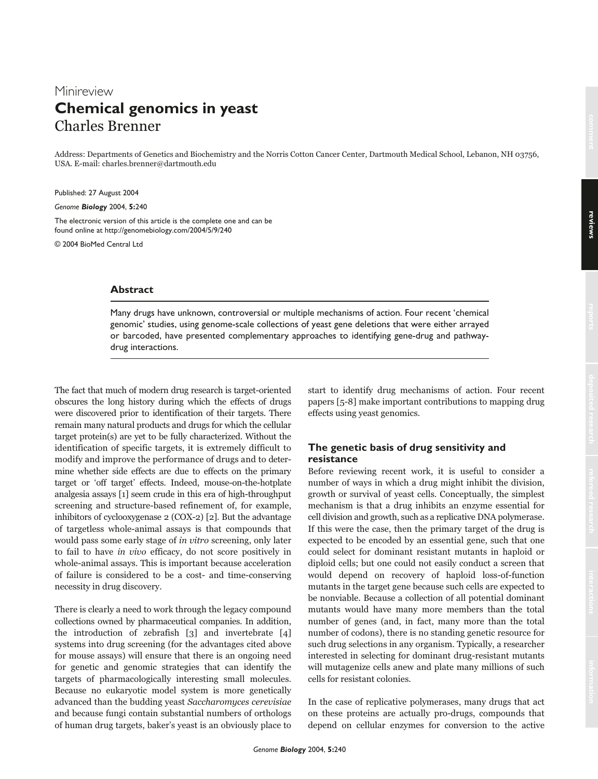## Minireview **Chemical genomics in yeast** Charles Brenner

Address: Departments of Genetics and Biochemistry and the Norris Cotton Cancer Center, Dartmouth Medical School, Lebanon, NH 03756, USA. E-mail: charles.brenner@dartmouth.edu

Published: 27 August 2004

*Genome Biology* 2004, **5:**240

The electronic version of this article is the complete one and can be found online at http://genomebiology.com/2004/5/9/240

© 2004 BioMed Central Ltd

### **Abstract**

Many drugs have unknown, controversial or multiple mechanisms of action. Four recent 'chemical genomic' studies, using genome-scale collections of yeast gene deletions that were either arrayed or barcoded, have presented complementary approaches to identifying gene-drug and pathwaydrug interactions.

The fact that much of modern drug research is target-oriented obscures the long history during which the effects of drugs were discovered prior to identification of their targets. There remain many natural products and drugs for which the cellular target protein(s) are yet to be fully characterized. Without the identification of specific targets, it is extremely difficult to modify and improve the performance of drugs and to determine whether side effects are due to effects on the primary target or 'off target' effects. Indeed, mouse-on-the-hotplate analgesia assays [1] seem crude in this era of high-throughput screening and structure-based refinement of, for example, inhibitors of cyclooxygenase 2 (COX-2) [2]. But the advantage of targetless whole-animal assays is that compounds that would pass some early stage of in vitro screening, only later to fail to have in vivo efficacy, do not score positively in whole-animal assays. This is important because acceleration of failure is considered to be a cost- and time-conserving necessity in drug discovery.

There is clearly a need to work through the legacy compound collections owned by pharmaceutical companies. In addition, the introduction of zebrafish [3] and invertebrate [4] systems into drug screening (for the advantages cited above for mouse assays) will ensure that there is an ongoing need for genetic and genomic strategies that can identify the targets of pharmacologically interesting small molecules. Because no eukaryotic model system is more genetically advanced than the budding yeast Saccharomyces cerevisiae and because fungi contain substantial numbers of orthologs of human drug targets, baker's yeast is an obviously place to

start to identify drug mechanisms of action. Four recent papers [5-8] make important contributions to mapping drug effects using yeast genomics.

## **The genetic basis of drug sensitivity and resistance**

Before reviewing recent work, it is useful to consider a number of ways in which a drug might inhibit the division, growth or survival of yeast cells. Conceptually, the simplest mechanism is that a drug inhibits an enzyme essential for cell division and growth, such as a replicative DNA polymerase. If this were the case, then the primary target of the drug is expected to be encoded by an essential gene, such that one could select for dominant resistant mutants in haploid or diploid cells; but one could not easily conduct a screen that would depend on recovery of haploid loss-of-function mutants in the target gene because such cells are expected to be nonviable. Because a collection of all potential dominant mutants would have many more members than the total number of genes (and, in fact, many more than the total number of codons), there is no standing genetic resource for such drug selections in any organism. Typically, a researcher interested in selecting for dominant drug-resistant mutants will mutagenize cells anew and plate many millions of such cells for resistant colonies.

In the case of replicative polymerases, many drugs that act on these proteins are actually pro-drugs, compounds that depend on cellular enzymes for conversion to the active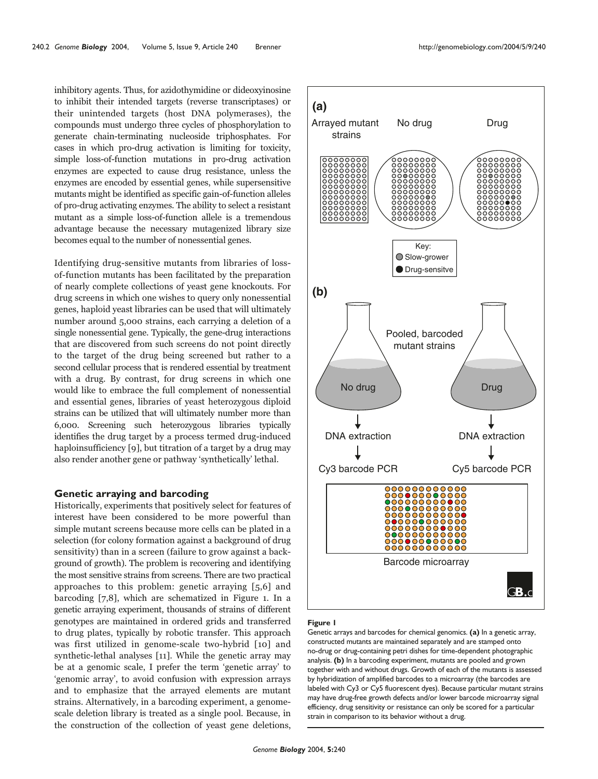inhibitory agents. Thus, for azidothymidine or dideoxyinosine to inhibit their intended targets (reverse transcriptases) or their unintended targets (host DNA polymerases), the compounds must undergo three cycles of phosphorylation to generate chain-terminating nucleoside triphosphates. For cases in which pro-drug activation is limiting for toxicity, simple loss-of-function mutations in pro-drug activation enzymes are expected to cause drug resistance, unless the enzymes are encoded by essential genes, while supersensitive mutants might be identified as specific gain-of-function alleles of pro-drug activating enzymes. The ability to select a resistant mutant as a simple loss-of-function allele is a tremendous advantage because the necessary mutagenized library size becomes equal to the number of nonessential genes.

Identifying drug-sensitive mutants from libraries of lossof-function mutants has been facilitated by the preparation of nearly complete collections of yeast gene knockouts. For drug screens in which one wishes to query only nonessential genes, haploid yeast libraries can be used that will ultimately number around 5,000 strains, each carrying a deletion of a single nonessential gene. Typically, the gene-drug interactions that are discovered from such screens do not point directly to the target of the drug being screened but rather to a second cellular process that is rendered essential by treatment with a drug. By contrast, for drug screens in which one would like to embrace the full complement of nonessential and essential genes, libraries of yeast heterozygous diploid strains can be utilized that will ultimately number more than 6,000. Screening such heterozygous libraries typically identifies the drug target by a process termed drug-induced haploinsufficiency [9], but titration of a target by a drug may also render another gene or pathway 'synthetically' lethal.

### **Genetic arraying and barcoding**

Historically, experiments that positively select for features of interest have been considered to be more powerful than simple mutant screens because more cells can be plated in a selection (for colony formation against a background of drug sensitivity) than in a screen (failure to grow against a background of growth). The problem is recovering and identifying the most sensitive strains from screens. There are two practical approaches to this problem: genetic arraying [5,6] and barcoding [7,8], which are schematized in Figure 1. In a genetic arraying experiment, thousands of strains of different genotypes are maintained in ordered grids and transferred to drug plates, typically by robotic transfer. This approach was first utilized in genome-scale two-hybrid [10] and synthetic-lethal analyses [11]. While the genetic array may be at a genomic scale, I prefer the term 'genetic array' to 'genomic array', to avoid confusion with expression arrays and to emphasize that the arrayed elements are mutant strains. Alternatively, in a barcoding experiment, a genomescale deletion library is treated as a single pool. Because, in the construction of the collection of yeast gene deletions,



#### **Figure 1**

Genetic arrays and barcodes for chemical genomics. **(a)** In a genetic array, constructed mutants are maintained separately and are stamped onto no-drug or drug-containing petri dishes for time-dependent photographic analysis. **(b)** In a barcoding experiment, mutants are pooled and grown together with and without drugs. Growth of each of the mutants is assessed by hybridization of amplified barcodes to a microarray (the barcodes are labeled with Cy3 or Cy5 fluorescent dyes). Because particular mutant strains may have drug-free growth defects and/or lower barcode microarray signal efficiency, drug sensitivity or resistance can only be scored for a particular strain in comparison to its behavior without a drug.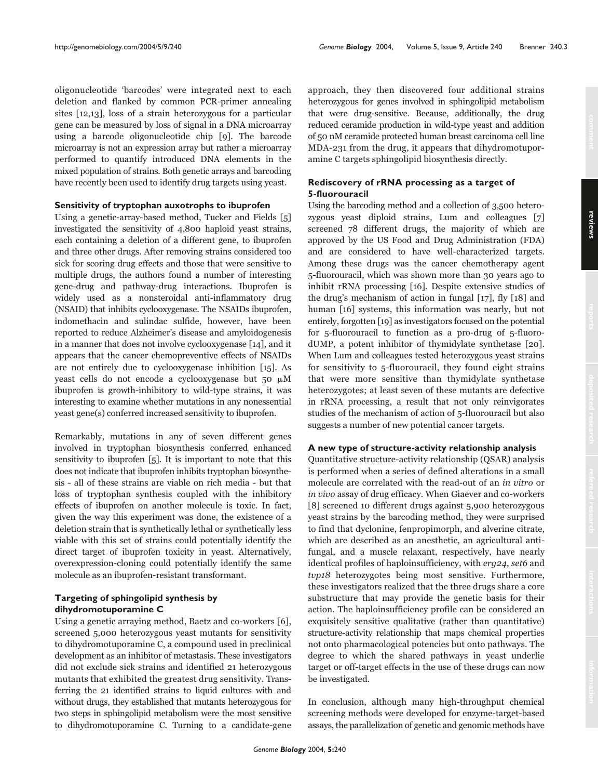oligonucleotide 'barcodes' were integrated next to each deletion and flanked by common PCR-primer annealing sites [12,13], loss of a strain heterozygous for a particular gene can be measured by loss of signal in a DNA microarray using a barcode oligonucleotide chip [9]. The barcode microarray is not an expression array but rather a microarray performed to quantify introduced DNA elements in the mixed population of strains. Both genetic arrays and barcoding have recently been used to identify drug targets using yeast.

#### **Sensitivity of tryptophan auxotrophs to ibuprofen**

Using a genetic-array-based method, Tucker and Fields [5] investigated the sensitivity of 4,800 haploid yeast strains, each containing a deletion of a different gene, to ibuprofen and three other drugs. After removing strains considered too sick for scoring drug effects and those that were sensitive to multiple drugs, the authors found a number of interesting gene-drug and pathway-drug interactions. Ibuprofen is widely used as a nonsteroidal anti-inflammatory drug (NSAID) that inhibits cyclooxygenase. The NSAIDs ibuprofen, indomethacin and sulindac sulfide, however, have been reported to reduce Alzheimer's disease and amyloidogenesis in a manner that does not involve cyclooxygenase [14], and it appears that the cancer chemopreventive effects of NSAIDs are not entirely due to cyclooxygenase inhibition [15]. As yeast cells do not encode a cyclooxygenase but 50  $\mu$ M ibuprofen is growth-inhibitory to wild-type strains, it was interesting to examine whether mutations in any nonessential yeast gene(s) conferred increased sensitivity to ibuprofen.

Remarkably, mutations in any of seven different genes involved in tryptophan biosynthesis conferred enhanced sensitivity to ibuprofen [5]. It is important to note that this does not indicate that ibuprofen inhibits tryptophan biosynthesis - all of these strains are viable on rich media - but that loss of tryptophan synthesis coupled with the inhibitory effects of ibuprofen on another molecule is toxic. In fact, given the way this experiment was done, the existence of a deletion strain that is synthetically lethal or synthetically less viable with this set of strains could potentially identify the direct target of ibuprofen toxicity in yeast. Alternatively, overexpression-cloning could potentially identify the same molecule as an ibuprofen-resistant transformant.

## **Targeting of sphingolipid synthesis by dihydromotuporamine C**

Using a genetic arraying method, Baetz and co-workers [6], screened 5,000 heterozygous yeast mutants for sensitivity to dihydromotuporamine C, a compound used in preclinical development as an inhibitor of metastasis. These investigators did not exclude sick strains and identified 21 heterozygous mutants that exhibited the greatest drug sensitivity. Transferring the 21 identified strains to liquid cultures with and without drugs, they established that mutants heterozygous for two steps in sphingolipid metabolism were the most sensitive to dihydromotuporamine C. Turning to a candidate-gene

approach, they then discovered four additional strains heterozygous for genes involved in sphingolipid metabolism that were drug-sensitive. Because, additionally, the drug reduced ceramide production in wild-type yeast and addition of 50 nM ceramide protected human breast carcinoma cell line MDA-231 from the drug, it appears that dihydromotuporamine C targets sphingolipid biosynthesis directly.

## **Rediscovery of rRNA processing as a target of 5-fluorouracil**

Using the barcoding method and a collection of 3,500 heterozygous yeast diploid strains, Lum and colleagues [7] screened 78 different drugs, the majority of which are approved by the US Food and Drug Administration (FDA) and are considered to have well-characterized targets. Among these drugs was the cancer chemotherapy agent 5-fluorouracil, which was shown more than 30 years ago to inhibit rRNA processing [16]. Despite extensive studies of the drug's mechanism of action in fungal [17], fly [18] and human [16] systems, this information was nearly, but not entirely, forgotten [19] as investigators focused on the potential for 5-fluorouracil to function as a pro-drug of 5-fluorodUMP, a potent inhibitor of thymidylate synthetase [20]. When Lum and colleagues tested heterozygous yeast strains for sensitivity to 5-fluorouracil, they found eight strains that were more sensitive than thymidylate synthetase heterozygotes; at least seven of these mutants are defective in rRNA processing, a result that not only reinvigorates studies of the mechanism of action of 5-fluorouracil but also suggests a number of new potential cancer targets.

### **A new type of structure-activity relationship analysis**

Quantitative structure-activity relationship (QSAR) analysis is performed when a series of defined alterations in a small molecule are correlated with the read-out of an in vitro or in vivo assay of drug efficacy. When Giaever and co-workers [8] screened 10 different drugs against 5,900 heterozygous yeast strains by the barcoding method, they were surprised to find that dyclonine, fenpropimorph, and alverine citrate, which are described as an anesthetic, an agricultural antifungal, and a muscle relaxant, respectively, have nearly identical profiles of haploinsufficiency, with erg24, set6 and tvp18 heterozygotes being most sensitive. Furthermore, these investigators realized that the three drugs share a core substructure that may provide the genetic basis for their action. The haploinsufficiency profile can be considered an exquisitely sensitive qualitative (rather than quantitative) structure-activity relationship that maps chemical properties not onto pharmacological potencies but onto pathways. The degree to which the shared pathways in yeast underlie target or off-target effects in the use of these drugs can now be investigated.

In conclusion, although many high-throughput chemical screening methods were developed for enzyme-target-based assays, the parallelization of genetic and genomic methods have